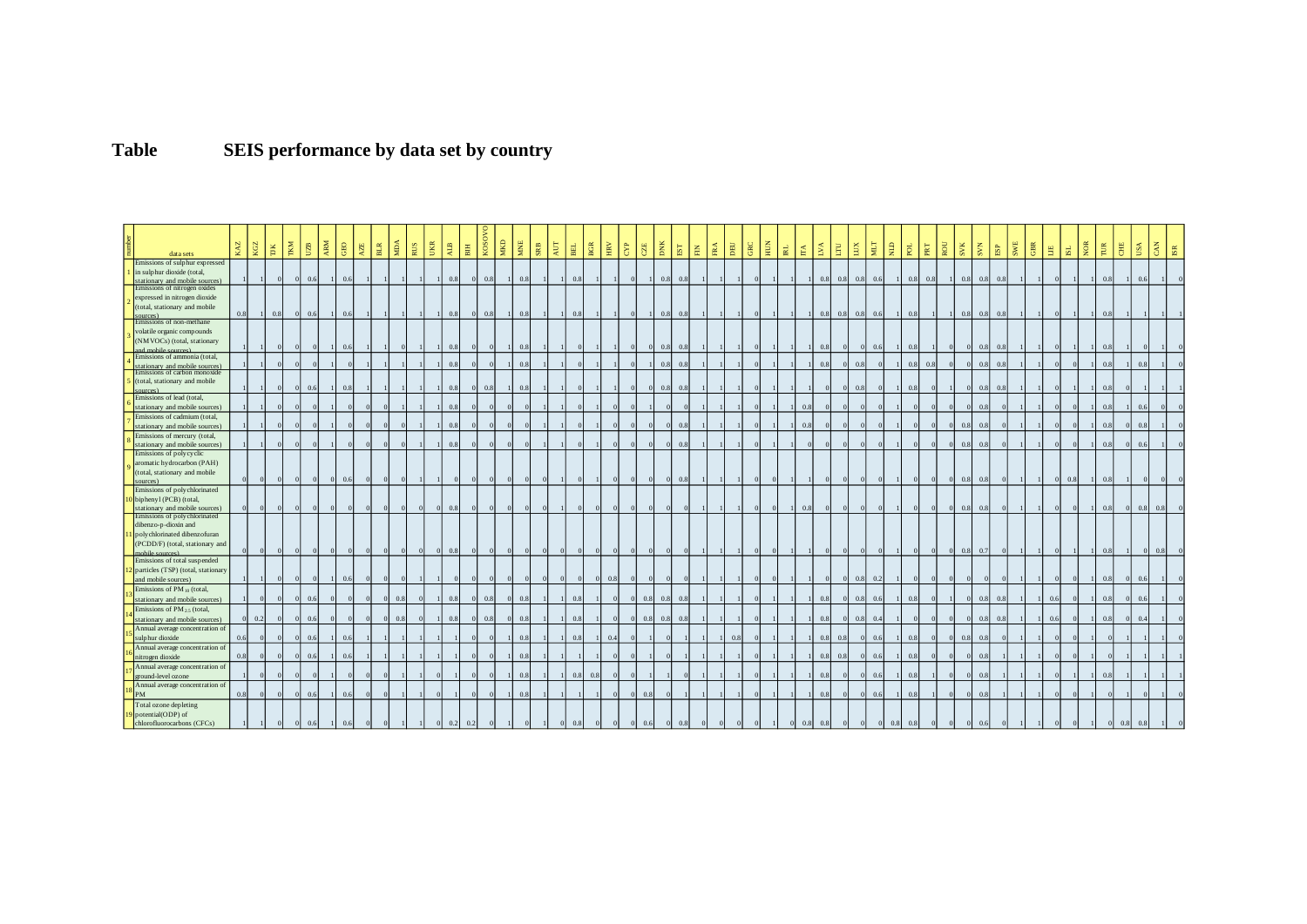## **Table SEIS performance by data set by country**

|                                       |     | KGZ          | <b>TKM</b><br>E | UZB                   | ARM            | $\rm{GEO}$ | AZE        | $_{\rm BLR}$   | <b>RUS</b><br>Á. | UKR      | <b>ALB</b> | 周              | KOSOVO<br>MKD  | MNE                            | $_{\rm SRB}$   | ĀUТ | $_{\rm BH}$  | $_{\rm BGR}$            | $_{\rm{HRV}}$<br>$\mathbb{B}$ | $\overline{\text{CE}}$ | DNK                 | $_{\rm EST}$          | $\mathbb H$ | $_{\rm FRA}$ | $_{\rm DEU}$ | HUN<br><b>GRC</b> | $\mathbbmss{H}$ | É. | <b>EVA</b>            | $\mathbf{E}$   | EUX            | MLT        | Я                     | pol | <b>ROU</b><br>$_{\rm {PRT}}$ | <b>SVK</b>                   |                | <b>B</b>                | SWE            | GBR          | 髙              | SL. | NOR            | TUR            | Ë        | USA        | CAN<br>ISR |
|---------------------------------------|-----|--------------|-----------------|-----------------------|----------------|------------|------------|----------------|------------------|----------|------------|----------------|----------------|--------------------------------|----------------|-----|--------------|-------------------------|-------------------------------|------------------------|---------------------|-----------------------|-------------|--------------|--------------|-------------------|-----------------|----|-----------------------|----------------|----------------|------------|-----------------------|-----|------------------------------|------------------------------|----------------|-------------------------|----------------|--------------|----------------|-----|----------------|----------------|----------|------------|------------|
| data sets                             |     |              |                 |                       |                |            |            |                |                  |          |            |                |                |                                |                |     |              |                         |                               |                        |                     |                       |             |              |              |                   |                 |    |                       |                |                |            |                       |     |                              |                              |                |                         |                |              |                |     |                |                |          |            |            |
| Emissions of sulphur expressed        |     |              |                 |                       |                |            |            |                |                  |          |            |                |                |                                |                |     |              |                         |                               |                        |                     |                       |             |              |              |                   |                 |    |                       |                |                |            |                       |     |                              |                              |                |                         |                |              |                |     |                |                |          |            |            |
| in sulphur dioxide (total,            |     |              |                 |                       |                |            |            |                |                  |          |            |                |                |                                |                |     |              |                         |                               |                        |                     |                       |             |              |              |                   |                 |    |                       |                |                |            |                       |     |                              |                              |                |                         |                |              |                |     |                |                |          |            |            |
| stationary and mobile sources         |     |              |                 | 0.6                   |                | 0.6        |            |                |                  |          | 0.8        | $\Omega$       | 0.8            | 0.8<br>$\overline{1}$          |                |     | 0.8          |                         |                               |                        | 0.8                 | 0.8                   |             |              |              |                   |                 |    |                       | 0.8<br>0.8     | 0.8            | 0.6        |                       | 0.8 | 0.8                          | 0.8                          |                | 0.8<br>0.8              |                |              |                |     |                | 0.8            |          | 0.6        |            |
| Emissions of nitrogen oxides          |     |              |                 |                       |                |            |            |                |                  |          |            |                |                |                                |                |     |              |                         |                               |                        |                     |                       |             |              |              |                   |                 |    |                       |                |                |            |                       |     |                              |                              |                |                         |                |              |                |     |                |                |          |            |            |
| expressed in nitrogen dioxide         |     |              |                 |                       |                |            |            |                |                  |          |            |                |                |                                |                |     |              |                         |                               |                        |                     |                       |             |              |              |                   |                 |    |                       |                |                |            |                       |     |                              |                              |                |                         |                |              |                |     |                |                |          |            |            |
| (total, stationary and mobile         |     |              |                 |                       |                |            |            |                |                  |          |            |                |                |                                |                |     |              |                         |                               |                        |                     |                       |             |              |              |                   |                 |    |                       |                |                |            |                       |     |                              |                              |                |                         |                |              |                |     |                |                |          |            |            |
|                                       | 0.8 |              | 0.8             | 0.6<br>$\overline{0}$ |                | 0.6        |            |                |                  |          | 0.8        | $\overline{0}$ | 0.8            | 0.8<br>$\overline{1}$          | $\blacksquare$ |     | 0.8          |                         |                               |                        | 0.8                 | 0.8                   |             |              |              |                   |                 |    |                       | 0.8<br>0.8     |                | $0.8\ 0.6$ | $\mathbf{1}$          | 0.8 |                              | 0.8                          |                | 0.8                     | 0.8            |              |                |     |                |                |          |            |            |
| Emissions of non-methane              |     |              |                 |                       |                |            |            |                |                  |          |            |                |                |                                |                |     |              |                         |                               |                        |                     |                       |             |              |              |                   |                 |    |                       |                |                |            |                       |     |                              |                              |                |                         |                |              |                |     |                |                |          |            |            |
| volatile organic compounds            |     |              |                 |                       |                |            |            |                |                  |          |            |                |                |                                |                |     |              |                         |                               |                        |                     |                       |             |              |              |                   |                 |    |                       |                |                |            |                       |     |                              |                              |                |                         |                |              |                |     |                |                |          |            |            |
| (NM VOCs) (total, stationary          |     |              |                 |                       |                |            |            |                |                  |          |            |                |                |                                |                |     |              |                         |                               |                        |                     |                       |             |              |              |                   |                 |    |                       |                |                |            |                       |     |                              |                              |                |                         |                |              |                |     |                |                |          |            |            |
| d mobile sources)                     |     |              |                 |                       |                | 0.6        |            |                |                  |          | 0.8        |                |                | 0.8                            |                |     |              |                         |                               |                        | 0.8<br>$\mathbf{0}$ | 0.8                   |             |              |              |                   |                 |    |                       | 0.8            |                | 0.6        |                       | 0.8 |                              |                              | 0.8            | 0.8                     |                |              |                |     |                | 0.8            |          |            |            |
| Emissions of ammonia (total,          |     |              |                 |                       |                |            |            |                |                  |          |            |                |                |                                |                |     |              |                         |                               |                        |                     |                       |             |              |              |                   |                 |    |                       |                |                |            |                       |     |                              |                              |                |                         |                |              |                |     |                |                |          |            |            |
| stationary and mobile sources         |     |              |                 |                       |                |            |            |                |                  |          | 0.8        |                |                | 0.8                            |                |     |              |                         |                               |                        | 0.8                 | 0.8                   |             |              |              |                   |                 |    |                       | 0.8            | 0.8            |            |                       | 0.8 | 0.8                          | $\Omega$                     | 0.8            | 0.8                     |                |              |                |     |                | 0.8            |          | 0.8        |            |
| Emissions of carbon monoxid           |     |              |                 |                       |                |            |            |                |                  |          |            |                |                |                                |                |     |              |                         |                               |                        |                     |                       |             |              |              |                   |                 |    |                       |                |                |            |                       |     |                              |                              |                |                         |                |              |                |     |                |                |          |            |            |
| (total, stationary and mobile         |     |              |                 | 0.6<br>$\Omega$       |                | 0.8        |            |                |                  |          |            | $\Omega$       |                |                                |                |     |              |                         |                               |                        | $\Omega$            |                       |             |              |              |                   |                 |    |                       |                |                |            |                       | 0.8 |                              |                              | 0.8            |                         |                |              |                |     |                |                |          |            |            |
| <b>Surces</b>                         |     |              |                 |                       |                |            |            |                |                  |          | 0.8        |                | 0.8            | 0.8                            |                |     |              |                         |                               |                        | 0.8                 | 0.8                   |             |              |              |                   |                 |    |                       |                | 0.8            |            |                       |     |                              |                              |                | 0.8                     |                |              |                |     |                | 0.8            |          |            |            |
| Emissions of lead (total,             |     |              |                 |                       |                |            |            |                |                  |          |            |                |                |                                |                |     |              |                         |                               |                        |                     |                       |             |              |              |                   |                 |    |                       |                |                |            |                       |     |                              |                              |                |                         |                |              |                |     |                |                |          |            |            |
| stationary and mobile sources)        |     |              |                 |                       |                |            |            |                |                  |          |            |                |                |                                |                |     |              |                         |                               |                        |                     |                       |             |              |              |                   |                 |    | 0.8                   |                |                |            |                       |     |                              |                              | 0.8            |                         |                |              |                |     |                | 0.5            |          |            |            |
| Emissions of cadmium (total,          |     |              |                 |                       |                |            |            |                |                  |          |            |                |                |                                |                |     |              |                         |                               |                        |                     |                       |             |              |              |                   |                 |    |                       |                |                |            |                       |     |                              |                              |                |                         |                |              |                |     |                |                |          |            |            |
| stationary and mobile sources         |     |              |                 |                       |                |            | $\epsilon$ |                | $\epsilon$       |          | 0.8        |                |                |                                |                |     |              |                         |                               |                        | $\Omega$            | 0.8                   |             |              |              |                   |                 |    | 0.8                   |                |                |            |                       |     |                              | $\Omega$<br>0.8              | 0.8            |                         |                |              |                |     |                | 0.8            | $\Omega$ | 0.8        |            |
| Emissions of mercury (total,          |     |              |                 |                       |                |            |            |                |                  |          |            |                |                |                                |                |     |              |                         |                               |                        |                     |                       |             |              |              |                   |                 |    |                       |                |                |            |                       |     |                              |                              |                |                         |                |              |                |     |                |                |          |            |            |
| stationary and mobile sources)        |     |              |                 |                       |                |            |            |                |                  |          | 0.3        |                |                |                                |                |     |              |                         |                               |                        |                     | 0.8                   |             |              |              |                   |                 |    |                       |                |                |            |                       |     |                              | $\Omega$<br>$\overline{0}$ . | 0.8            |                         |                |              |                |     |                | 0.8            |          | 0.6        |            |
| Emissions of polycyclic               |     |              |                 |                       |                |            |            |                |                  |          |            |                |                |                                |                |     |              |                         |                               |                        |                     |                       |             |              |              |                   |                 |    |                       |                |                |            |                       |     |                              |                              |                |                         |                |              |                |     |                |                |          |            |            |
| aromatic hydrocarbon (PAH)            |     |              |                 |                       |                |            |            |                |                  |          |            |                |                |                                |                |     |              |                         |                               |                        |                     |                       |             |              |              |                   |                 |    |                       |                |                |            |                       |     |                              |                              |                |                         |                |              |                |     |                |                |          |            |            |
| (total, stationary and mobile         |     |              |                 |                       |                |            |            |                |                  |          |            |                |                |                                |                |     |              |                         |                               |                        |                     |                       |             |              |              |                   |                 |    |                       |                |                |            |                       |     |                              |                              |                |                         |                |              |                |     |                |                |          |            |            |
| sources)                              |     |              |                 | $\sqrt{ }$            | $\overline{0}$ | 0.6        | $\Omega$   |                | $\epsilon$       |          |            | $\Omega$       |                | $\Omega$                       | $\sqrt{0}$     |     |              |                         | $\Omega$                      | $\overline{0}$         | $\overline{0}$      | 0.8<br>$\overline{0}$ |             |              |              |                   |                 |    |                       |                |                |            |                       |     |                              | $\overline{0}$<br>0.8        | 0.8            |                         |                |              | $\overline{0}$ | 0.8 | $\mathbf{1}$   | 0.8            |          |            |            |
| Emissions of polychlorinated          |     |              |                 |                       |                |            |            |                |                  |          |            |                |                |                                |                |     |              |                         |                               |                        |                     |                       |             |              |              |                   |                 |    |                       |                |                |            |                       |     |                              |                              |                |                         |                |              |                |     |                |                |          |            |            |
| biphenyl (PCB) (total,                |     |              |                 |                       |                |            |            |                |                  |          |            |                |                |                                |                |     |              |                         |                               |                        |                     |                       |             |              |              |                   |                 |    |                       |                |                |            |                       |     |                              |                              |                |                         |                |              |                |     |                |                |          |            |            |
| stationary and mobile sources)        |     |              |                 |                       |                |            |            |                |                  |          |            |                |                |                                |                |     |              |                         |                               |                        |                     |                       |             |              |              |                   |                 |    | $^{\circ}$            |                |                |            |                       |     |                              | $\Omega$<br>0 <sup>3</sup>   |                | 0.8                     |                |              |                |     |                | 0.8            | $\Omega$ | 0.8<br>0.8 |            |
| Emissions of polychlorinated          |     |              |                 |                       |                |            |            |                |                  |          |            |                |                |                                |                |     |              |                         |                               |                        |                     |                       |             |              |              |                   |                 |    |                       |                |                |            |                       |     |                              |                              |                |                         |                |              |                |     |                |                |          |            |            |
| dibenzo-p-dioxin and                  |     |              |                 |                       |                |            |            |                |                  |          |            |                |                |                                |                |     |              |                         |                               |                        |                     |                       |             |              |              |                   |                 |    |                       |                |                |            |                       |     |                              |                              |                |                         |                |              |                |     |                |                |          |            |            |
| poly chlorinated dibenz ofuran        |     |              |                 |                       |                |            |            |                |                  |          |            |                |                |                                |                |     |              |                         |                               |                        |                     |                       |             |              |              |                   |                 |    |                       |                |                |            |                       |     |                              |                              |                |                         |                |              |                |     |                |                |          |            |            |
|                                       |     |              |                 |                       |                |            |            |                |                  |          |            |                |                |                                |                |     |              |                         |                               |                        |                     |                       |             |              |              |                   |                 |    |                       |                |                |            |                       |     |                              |                              |                |                         |                |              |                |     |                |                |          |            |            |
| (PCDD/F) (total, stationary and       |     |              |                 |                       |                |            |            |                |                  |          | 0.8        | $\Omega$       |                |                                | $\sqrt{0}$     |     |              |                         |                               |                        |                     |                       |             |              |              |                   |                 |    |                       |                |                |            |                       |     |                              | $\Omega$<br>0.8              | 0.7            |                         |                |              |                |     |                | 0.8            |          |            |            |
| Emissions of total suspended          |     |              |                 |                       |                |            |            |                |                  |          |            |                |                |                                |                |     |              |                         |                               |                        |                     |                       |             |              |              |                   |                 |    |                       |                |                |            |                       |     |                              |                              |                |                         |                |              |                |     |                |                |          |            |            |
| particles (TSP) (total, stationary    |     |              |                 |                       |                |            |            |                |                  |          |            |                |                |                                |                |     |              |                         |                               |                        |                     |                       |             |              |              |                   |                 |    |                       |                |                |            |                       |     |                              |                              |                |                         |                |              |                |     |                |                |          |            |            |
|                                       |     |              |                 |                       |                | 0.6        |            |                |                  |          |            |                |                |                                |                |     |              |                         | 0.8                           |                        |                     |                       |             |              |              |                   |                 |    |                       |                | 0.8            | 0.2        |                       |     |                              |                              |                |                         |                |              |                |     |                | 0.8            |          | $\Omega$   |            |
| and mobile sources)                   |     |              |                 |                       |                |            |            |                |                  |          |            |                |                |                                |                |     |              |                         |                               |                        |                     |                       |             |              |              |                   |                 |    |                       |                |                |            |                       |     |                              |                              |                |                         |                |              |                |     |                |                |          |            |            |
| Emissions of PM $_{10}$ (total,       |     |              |                 |                       |                |            |            |                |                  |          |            |                |                |                                |                |     |              |                         |                               |                        |                     |                       |             |              |              |                   |                 |    |                       |                |                |            |                       |     |                              |                              |                |                         |                |              |                |     |                |                |          |            |            |
| stationary and mobile sources         |     |              |                 | 0.6                   |                |            |            |                | 0.8              |          | 0.8        | $\Omega$       | 0.8            | 0.8<br>$\Omega$                |                |     | 0.8          |                         |                               |                        | 0.8<br>0.8          | 0.8                   |             |              |              |                   |                 |    |                       | 0.8            | 0.8            | 0.6        |                       | 0.8 |                              |                              |                | 0.8<br>$\overline{0}$ . |                |              | 0.6            |     |                | 0.8            |          | $\Omega$   |            |
| Emissions of $PM_{2.5}$ (total,       |     |              |                 |                       |                |            |            |                |                  |          |            |                |                |                                |                |     |              |                         |                               |                        |                     |                       |             |              |              |                   |                 |    |                       |                |                |            |                       |     |                              |                              |                |                         |                |              |                |     |                |                |          |            |            |
| stationary and mobile sources)        |     | 0.2          |                 | 0.6                   |                |            | $\epsilon$ |                | 0.8              |          | 0.8        | $\Omega$       | 0.8            | 0.8<br>$\Omega$                |                |     | 0.8          |                         |                               |                        | 0.8<br>0.8          | 0.8                   |             |              |              |                   |                 |    |                       | 0.8            | 0.8            | 0.4        |                       |     |                              |                              |                | 0.8<br>0.5              |                |              | 0.6            |     |                | 0.8            |          | 0.4        |            |
| Annual average concentration of       |     |              |                 |                       |                |            |            |                |                  |          |            |                |                |                                |                |     |              |                         |                               |                        |                     |                       |             |              |              |                   |                 |    |                       |                |                |            |                       |     |                              |                              |                |                         |                |              |                |     |                |                |          |            |            |
| sulp hur dioxide                      | 0.6 |              |                 | 0.6                   |                | 0.6        |            |                |                  |          |            |                |                | 0.8                            |                |     | 0.8          |                         | 0.4                           |                        |                     |                       |             |              | 0.8          |                   |                 |    |                       | 0.8<br>0.8     |                | 0.6        |                       | 0.8 |                              | 0.8                          | 0.8            |                         |                |              |                |     |                |                |          |            |            |
| Annual average concentration of       |     |              |                 |                       |                |            |            |                |                  |          |            |                |                |                                |                |     |              |                         |                               |                        |                     |                       |             |              |              |                   |                 |    |                       |                |                |            |                       |     |                              |                              |                |                         |                |              |                |     |                |                |          |            |            |
| nitrogen dioxide                      | 0.8 |              |                 | 0.6<br>$\Omega$       |                | 0.6        |            |                |                  |          |            |                |                | 0.8                            |                |     |              |                         |                               |                        |                     |                       |             |              |              |                   |                 |    |                       | 0.8<br>0.8     |                | 0.6        |                       | 0.8 |                              | $\Omega$                     | 0.8            |                         |                |              |                |     |                |                |          |            |            |
| Annual average concentration of       |     |              |                 |                       |                |            |            |                |                  |          |            |                |                |                                |                |     |              |                         |                               |                        |                     |                       |             |              |              |                   |                 |    |                       |                |                |            |                       |     |                              |                              |                |                         |                |              |                |     |                |                |          |            |            |
| ground-level ozone                    |     |              |                 |                       |                |            | $\sqrt{ }$ |                |                  |          |            |                |                | 0.8                            |                |     | 0.8          | 0.8                     |                               |                        |                     |                       |             |              |              |                   |                 |    |                       | 0.8            |                | 0.6        |                       | 0.8 |                              | $\Omega$                     | 0.8            |                         |                |              |                |     |                | 0 <sup>3</sup> |          |            |            |
|                                       |     |              |                 |                       |                |            |            |                |                  |          |            |                |                |                                |                |     |              |                         |                               |                        |                     |                       |             |              |              |                   |                 |    |                       |                |                |            |                       |     |                              |                              |                |                         |                |              |                |     |                |                |          |            |            |
| Annual average concentration of<br>PM | 0.8 |              |                 | 0.6                   |                | 0.6        |            |                |                  |          |            |                |                | 0.8                            |                |     |              |                         |                               |                        | 0.8                 |                       |             |              |              |                   |                 |    |                       | 0.8            |                | 0.6        |                       | 0.8 |                              |                              | 0.8            |                         |                |              |                |     |                |                |          |            |            |
|                                       |     |              |                 |                       |                |            |            |                |                  |          |            |                |                |                                |                |     |              |                         |                               |                        |                     |                       |             |              |              |                   |                 |    |                       |                |                |            |                       |     |                              |                              |                |                         |                |              |                |     |                |                |          |            |            |
| Total ozone depleting                 |     |              |                 |                       |                |            |            |                |                  |          |            |                |                |                                |                |     |              |                         |                               |                        |                     |                       |             |              |              |                   |                 |    |                       |                |                |            |                       |     |                              |                              |                |                         |                |              |                |     |                |                |          |            |            |
| potential(ODP) of                     |     |              |                 |                       |                |            |            |                |                  |          |            |                |                |                                |                |     |              |                         |                               |                        |                     |                       |             |              |              |                   |                 |    |                       |                |                |            |                       |     |                              |                              |                |                         |                |              |                |     |                |                |          |            |            |
| chlorofluorocarbons (CFCs)            |     | $\mathbf{1}$ | $\overline{0}$  | $0\quad 0.6$          | $\overline{1}$ | 0.6        | $\bf{0}$   | $\overline{0}$ | $\mathbf{1}$     | $\bf{0}$ | 0.2        | 0.2            | $\overline{0}$ | $\mathbf{1}$<br>$\overline{0}$ | $\mathbf{1}$   |     | $0\quad 0.8$ | $\overline{\mathbf{0}}$ | $0\qquad 0\qquad 0.6$         |                        |                     | $0\quad 0.8$          | $\sim$ 0    | $\mathbf{0}$ | $\sim$ 0     | $\overline{0}$    | $\mathbf{1}$    |    | $0\quad 0.8\quad 0.8$ | $\overline{0}$ | $\overline{0}$ |            | $0\quad 0.8\quad 0.8$ |     | $\bf{0}$                     | $\bf{0}$                     | $\overline{0}$ | 0.6                     | $\overline{0}$ | $\mathbf{1}$ | $\overline{0}$ |     | $\overline{1}$ | $\overline{0}$ | 0.8      | 0.8        |            |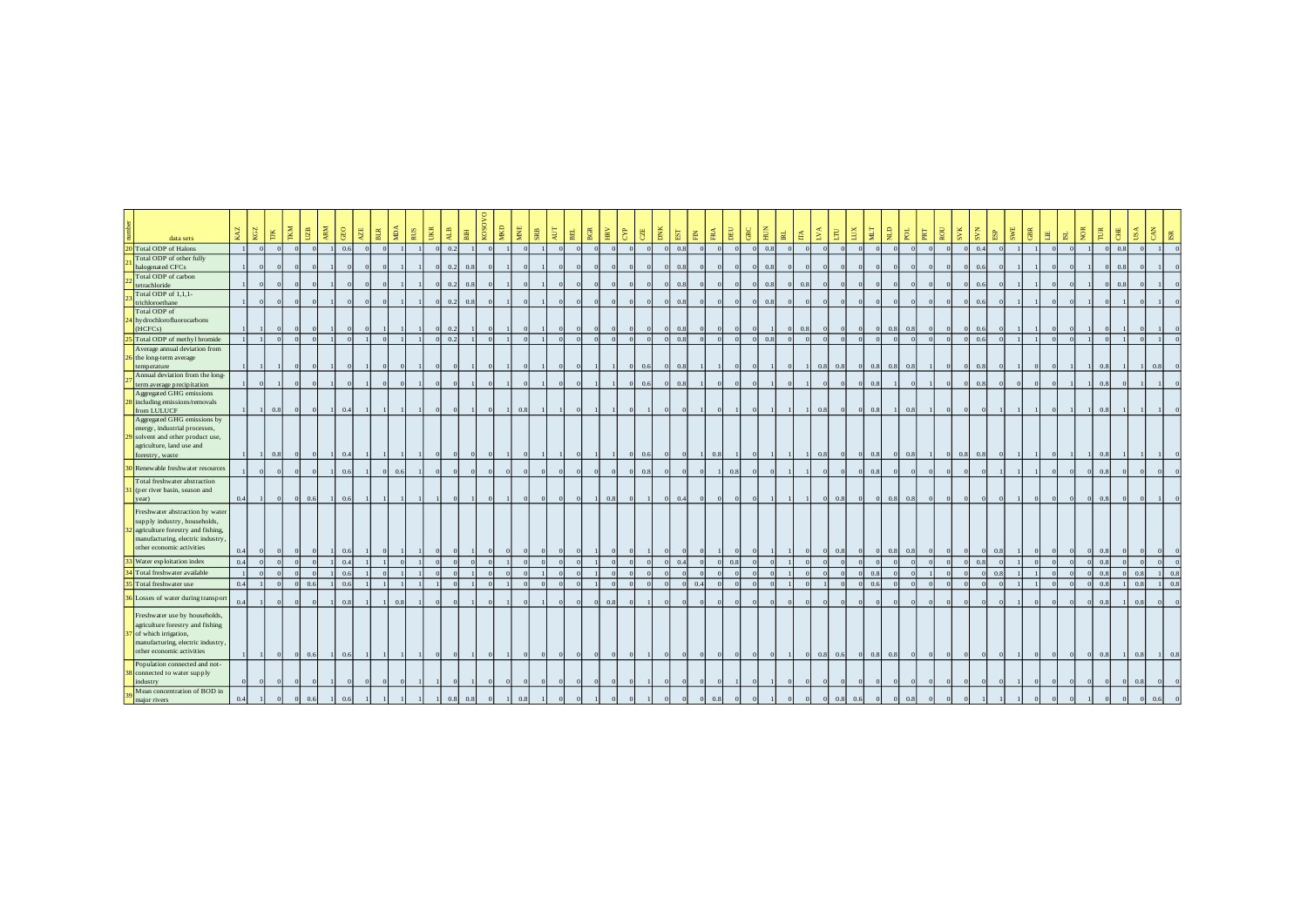| data sets                                                      | KAZ            | KGZ | TKM<br>$\overline{\rm H}$ | U2B                   | ARM                        | $_{\rm{GEO}}$ | 罗<br>          | <b>MDA</b><br>$_{\rm BLR}$ | RUS        | UKR      | $\frac{1}{2}$ | 圕   | KOS | MЮ             | MNE<br>${\bf SRB}$ | $\lambda\mathrm{UT}$ | $_{\rm BE}$    | $_{\rm BGR}$   | EN CYP |                | CZE            | DNK           | $_{\rm{EST}}$  | $\overline{\mathrm{H}}$ | $_{\rm FRA}$   | DEU            | $rac{BC}{HOM}$ |     | $\mathbbm{R}$  | É.       | LVA        | LUX<br>$\overline{\mathrm{E}}$ | NЦ       | $\frac{1}{2}$           | $P_{\alpha}$    | $_{\rm {PRT}}$ | ROU                        | SVK      | $\mathbf{s}$    | ESP      | SWE      | GBR | 胃        | <b>SL</b> | <b>NOK</b> | $\overline{\mathrm{P}}$ | 思<br>USA       | CAN        | $_{\rm IR}$    |     |
|----------------------------------------------------------------|----------------|-----|---------------------------|-----------------------|----------------------------|---------------|----------------|----------------------------|------------|----------|---------------|-----|-----|----------------|--------------------|----------------------|----------------|----------------|--------|----------------|----------------|---------------|----------------|-------------------------|----------------|----------------|----------------|-----|----------------|----------|------------|--------------------------------|----------|-------------------------|-----------------|----------------|----------------------------|----------|-----------------|----------|----------|-----|----------|-----------|------------|-------------------------|----------------|------------|----------------|-----|
| 0 Total ODP of Halons                                          |                |     |                           |                       |                            | 0.6           | $\alpha$       |                            |            | $\Omega$ | 0.2           |     |     |                |                    |                      |                |                |        |                |                |               | 0.8            |                         |                |                |                | 0.8 |                |          |            |                                |          |                         |                 |                |                            |          | 0.4             |          |          |     |          |           |            |                         | 0.8            |            |                |     |
| Total ODP of other fully<br>halogenated CFCs                   |                |     |                           |                       |                            |               | $\sqrt{ }$     |                            |            | $\Omega$ | 0.2           | 0.8 |     | $\overline{1}$ |                    |                      | $\Omega$       | $\sqrt{0}$     |        |                | $\Omega$       |               | 0.8            |                         | $\overline{0}$ |                | $\Omega$       | 0.8 |                |          |            |                                |          | $\epsilon$              |                 |                | $\sqrt{ }$                 | $\Omega$ | 0.6             |          |          |     |          |           |            |                         | 0.8            |            |                |     |
| Total ODP of carbon                                            |                |     |                           |                       |                            |               |                |                            |            |          |               |     |     |                |                    |                      |                |                |        |                |                |               |                |                         |                |                |                |     |                |          |            |                                |          |                         |                 |                |                            |          |                 |          |          |     |          |           |            |                         |                |            |                |     |
| tetrachloride                                                  |                |     |                           |                       |                            |               | $\Omega$       |                            |            | $\Omega$ | 0.2           | 0.8 |     |                |                    |                      | $\Omega$       | $\Omega$       |        |                | $\overline{0}$ | $\Omega$      | 0.8            |                         | $\overline{0}$ |                | $\Omega$       | 0.8 | $\Omega$       | 0.8      |            |                                |          | $\epsilon$              |                 |                | $\Omega$                   |          | 0.6<br>$\Omega$ |          |          |     |          |           |            |                         | 0.8            |            |                |     |
| Total ODP of 1,1,1-<br>trichloroethane                         |                |     |                           |                       |                            |               | $\sqrt{ }$     |                            |            | $\Omega$ | 0.2           | 0.8 |     |                |                    |                      |                |                |        |                |                |               | 0.8            |                         |                |                |                | 0.8 |                |          |            |                                |          |                         |                 |                |                            |          | 0.6             |          |          |     |          |           |            |                         |                |            |                |     |
| Total ODP of                                                   |                |     |                           |                       |                            |               |                |                            |            |          |               |     |     |                |                    |                      |                |                |        |                |                |               |                |                         |                |                |                |     |                |          |            |                                |          |                         |                 |                |                            |          |                 |          |          |     |          |           |            |                         |                |            |                |     |
| hydrochlorofluorocarbons                                       |                |     |                           |                       |                            |               |                |                            |            |          |               |     |     |                |                    |                      |                |                |        |                |                |               |                |                         |                |                |                |     |                |          |            |                                |          |                         |                 |                |                            |          |                 |          |          |     |          |           |            |                         |                |            |                |     |
| (HCFCs)                                                        |                |     |                           |                       |                            |               |                |                            |            |          | 0.2           |     |     |                |                    |                      |                |                |        |                |                |               | 0.8            |                         |                |                |                |     |                | 0.8      |            |                                |          | $\Omega$                | 0.8             | 0.8            |                            |          | 0.6             |          |          |     |          |           |            |                         |                |            |                |     |
| Total ODP of methyl bromide<br>Average annual deviation from   |                |     | $\sqrt{ }$                |                       |                            |               |                | $\Omega$                   |            | $\Omega$ | 0.2           |     |     | $\overline{1}$ | $\overline{0}$     |                      | $\overline{0}$ | $\overline{0}$ |        | - 0            | $\overline{0}$ |               | 0.8            |                         | $\overline{0}$ | $\overline{0}$ | $\overline{0}$ | 0.8 | $\overline{0}$ |          | $\Omega$   |                                |          | $\epsilon$              |                 |                | $\epsilon$                 | $\Omega$ | 0.6             |          |          |     | $\Omega$ | $\Omega$  |            |                         |                | $\sqrt{2}$ |                |     |
| the long-term average                                          |                |     |                           |                       |                            |               |                |                            |            |          |               |     |     |                |                    |                      |                |                |        |                |                |               |                |                         |                |                |                |     |                |          |            |                                |          |                         |                 |                |                            |          |                 |          |          |     |          |           |            |                         |                |            |                |     |
| temperature                                                    |                |     |                           |                       |                            |               |                | $\Omega$                   | $\sqrt{ }$ | $\Omega$ |               |     |     |                | $\Omega$           |                      |                |                |        | $\overline{0}$ | 0.6            | $\Omega$      | 0.8            |                         |                |                | $\Omega$       |     |                |          | 0.8        | 0.8                            | $\Omega$ | $0.8\quad 0.8\quad 0.8$ |                 |                | $\Omega$                   |          | $0\quad 0.8$    |          |          |     |          |           |            | 0.8                     |                |            | 0.8            |     |
| Annual deviation from the long-                                |                |     | $\epsilon$                |                       |                            |               |                | $\Omega$                   | $\Omega$   | $\Omega$ |               |     |     |                | $\Omega$           |                      | $\Omega$       | $\Omega$       |        |                | 0.6            | $\Omega$      | 0.8            |                         | $\overline{0}$ |                |                |     |                |          | $\Omega$   |                                |          | 0.8                     |                 | $\epsilon$     | $\Omega$                   | $\Omega$ | 0.8             |          | $\Omega$ |     |          |           |            | 0.8                     |                |            |                |     |
| term average precipitation<br>Aggregated GHG emissions         |                |     |                           |                       |                            |               |                |                            |            |          |               |     |     |                |                    |                      |                |                |        |                |                |               |                |                         |                |                |                |     |                |          |            |                                |          |                         |                 |                |                            |          |                 |          |          |     |          |           |            |                         |                |            |                |     |
| including emissions/removals                                   |                |     |                           |                       |                            |               |                |                            |            |          |               |     |     |                |                    |                      |                |                |        |                |                |               |                |                         |                |                |                |     |                |          |            |                                |          |                         |                 |                |                            |          |                 |          |          |     |          |           |            |                         |                |            |                |     |
| from LULUCF                                                    |                |     | 0.8                       | $\Omega$              | $\Omega$<br>$\overline{1}$ | 0.4           |                |                            |            | $\Omega$ |               |     |     | $\overline{1}$ | 0.8                |                      | $\overline{1}$ | $\Omega$       |        | $\overline{0}$ |                |               | $\overline{0}$ |                         | $\Omega$       |                |                |     |                |          | 0.8        | $\epsilon$                     | $\Omega$ | 0.8                     |                 | 0.8            | $\overline{0}$             | $\Omega$ | $\Omega$        |          |          |     |          |           |            | 0.8                     |                |            |                |     |
| Aggregated GHG emissions by<br>energy, industrial processes,   |                |     |                           |                       |                            |               |                |                            |            |          |               |     |     |                |                    |                      |                |                |        |                |                |               |                |                         |                |                |                |     |                |          |            |                                |          |                         |                 |                |                            |          |                 |          |          |     |          |           |            |                         |                |            |                |     |
| solvent and other product use,                                 |                |     |                           |                       |                            |               |                |                            |            |          |               |     |     |                |                    |                      |                |                |        |                |                |               |                |                         |                |                |                |     |                |          |            |                                |          |                         |                 |                |                            |          |                 |          |          |     |          |           |            |                         |                |            |                |     |
| agriculture, land use and                                      |                |     |                           |                       |                            |               |                |                            |            |          |               |     |     |                |                    |                      |                |                |        |                |                |               |                |                         |                |                |                |     |                |          |            |                                |          |                         |                 |                |                            |          |                 |          |          |     |          |           |            |                         |                |            |                |     |
| forestry, waste                                                |                |     | 0.8                       |                       |                            | 0.4           |                |                            |            |          |               |     |     |                |                    |                      |                |                |        |                | 0.6            |               | $\bf{0}$       |                         | 0.8            |                |                |     |                |          | 0.8        |                                |          | 0.8                     | 0.8<br>$\Omega$ |                | $\overline{0}$             | 0.8      | 0.8             |          |          |     |          |           |            | 0.8                     |                |            |                |     |
| Renewable freshwater resources                                 |                |     |                           |                       |                            | 0.6           |                | $\Omega$                   | 0.6        |          |               |     |     | $\Omega$       | $\Omega$           |                      | $\Omega$       | $\sqrt{2}$     |        |                | 0.8            | $\Omega$      | $\Omega$       |                         |                | 0.8            |                |     |                |          | $\Omega$   |                                |          | 0.8                     |                 |                | $\epsilon$                 | $\Omega$ | $\epsilon$      |          |          |     |          |           |            | 0.8                     |                |            |                |     |
| Total freshwater abstraction                                   |                |     |                           |                       |                            |               |                |                            |            |          |               |     |     |                |                    |                      |                |                |        |                |                |               |                |                         |                |                |                |     |                |          |            |                                |          |                         |                 |                |                            |          |                 |          |          |     |          |           |            |                         |                |            |                |     |
| (per river basin, season and<br>year)                          | 0.4            |     |                           | 0.6<br>$\Omega$       | $\overline{1}$             | 0.6           |                |                            |            |          |               |     |     |                | $\Omega$           | $\Omega$             | $\Omega$       | $\Omega$       | 0.8    | $\alpha$       |                | $0 \quad 0.4$ |                | $\alpha$                | $\overline{0}$ | $\alpha$       | $\Omega$       |     |                |          | $\Omega$   | 0.8                            | $\Omega$ | $0 \quad 0.8$           | 0.8             |                | $\sqrt{ }$                 | $\Omega$ | $\Omega$        |          |          |     |          | $\Omega$  |            | 0.8                     |                |            |                |     |
| Freshwater abstraction by water                                |                |     |                           |                       |                            |               |                |                            |            |          |               |     |     |                |                    |                      |                |                |        |                |                |               |                |                         |                |                |                |     |                |          |            |                                |          |                         |                 |                |                            |          |                 |          |          |     |          |           |            |                         |                |            |                |     |
| supply industry, households,                                   |                |     |                           |                       |                            |               |                |                            |            |          |               |     |     |                |                    |                      |                |                |        |                |                |               |                |                         |                |                |                |     |                |          |            |                                |          |                         |                 |                |                            |          |                 |          |          |     |          |           |            |                         |                |            |                |     |
| agriculture forestry and fishing.                              |                |     |                           |                       |                            |               |                |                            |            |          |               |     |     |                |                    |                      |                |                |        |                |                |               |                |                         |                |                |                |     |                |          |            |                                |          |                         |                 |                |                            |          |                 |          |          |     |          |           |            |                         |                |            |                |     |
| manufacturing, electric industry,<br>other economic activities |                |     |                           |                       |                            |               |                |                            |            |          |               |     |     |                |                    |                      |                |                |        |                |                |               |                |                         |                |                |                |     |                |          |            |                                |          |                         |                 |                |                            |          |                 |          |          |     |          |           |            |                         |                |            |                |     |
|                                                                | 0.4            |     |                           |                       |                            | 0.6           |                |                            |            |          |               |     |     |                |                    |                      |                |                |        |                |                |               |                |                         |                |                |                |     |                |          | $\Omega$   | 0.8                            |          | $\Omega$                | 0.8<br>0.8      |                |                            | $\Omega$ | $\Omega$        | $\Omega$ |          |     |          |           |            | 0.8                     |                |            |                |     |
| Water exploitation index                                       | 0.4            |     |                           |                       |                            | $^{0.4}$      |                |                            |            |          |               |     |     |                |                    |                      |                |                |        |                |                |               | 0.4            |                         |                | 0.8            |                |     |                |          |            |                                |          |                         |                 |                |                            |          | 0.8             |          |          |     |          |           |            | 0.8                     |                |            |                |     |
| Total freshwater available                                     |                |     |                           |                       |                            | 0.6           |                |                            |            |          |               |     |     | $\Omega$       |                    |                      |                |                |        |                |                |               |                |                         | $\Omega$       |                |                |     |                |          |            |                                |          | 0.8                     |                 |                | $\epsilon$                 | $\Omega$ | $\Omega$        | 0.3      |          |     |          |           |            | 0.8                     |                | 0.8        |                | 0.8 |
| Total freshwater use                                           | 0.4            |     |                           | 0.6<br>$\sqrt{2}$     |                            | 0.6           |                |                            |            |          |               |     |     |                |                    |                      |                |                |        |                |                |               |                | 0.4                     |                |                |                |     |                |          |            |                                |          | 0.6                     |                 |                |                            |          | $\epsilon$      |          |          |     |          |           |            | 0.8                     |                | 0.8        |                | 0.8 |
| Losses of water during transport                               | 0 <sub>A</sub> |     |                           |                       |                            | 0.8           |                |                            | 0.8        |          |               |     |     |                |                    |                      |                |                | 0.8    |                |                |               |                |                         |                |                |                |     |                |          |            |                                |          |                         |                 |                |                            |          |                 |          |          |     |          |           |            | 0.8                     |                | 0.8        |                |     |
| Freshwater use by households,                                  |                |     |                           |                       |                            |               |                |                            |            |          |               |     |     |                |                    |                      |                |                |        |                |                |               |                |                         |                |                |                |     |                |          |            |                                |          |                         |                 |                |                            |          |                 |          |          |     |          |           |            |                         |                |            |                |     |
| agriculture forestry and fishing                               |                |     |                           |                       |                            |               |                |                            |            |          |               |     |     |                |                    |                      |                |                |        |                |                |               |                |                         |                |                |                |     |                |          |            |                                |          |                         |                 |                |                            |          |                 |          |          |     |          |           |            |                         |                |            |                |     |
| of which irrigation,<br>manufacturing, electric industry,      |                |     |                           |                       |                            |               |                |                            |            |          |               |     |     |                |                    |                      |                |                |        |                |                |               |                |                         |                |                |                |     |                |          |            |                                |          |                         |                 |                |                            |          |                 |          |          |     |          |           |            |                         |                |            |                |     |
| other economic activities                                      |                |     | $\overline{0}$            | 0.6                   |                            | 0.6           |                |                            |            |          |               |     |     |                |                    |                      |                | $\sqrt{0}$     |        |                |                |               | $\overline{0}$ |                         | $\overline{0}$ |                |                |     |                | $\Omega$ | $0.8\ 0.6$ |                                | $\Omega$ | $0.8\ 0.8$              |                 |                |                            |          |                 |          |          |     |          |           |            | 0.8                     | $\overline{1}$ | 0.8        | $\overline{1}$ | 0.8 |
| Population connected and not-                                  |                |     |                           |                       |                            |               |                |                            |            |          |               |     |     |                |                    |                      |                |                |        |                |                |               |                |                         |                |                |                |     |                |          |            |                                |          |                         |                 |                |                            |          |                 |          |          |     |          |           |            |                         |                |            |                |     |
| connected to water supply                                      |                |     |                           |                       |                            |               |                |                            |            |          |               |     |     |                |                    |                      |                |                |        |                |                |               |                |                         |                |                |                |     |                |          |            |                                |          |                         |                 |                |                            |          |                 |          |          |     |          |           |            |                         |                |            |                |     |
| industry                                                       |                |     |                           |                       |                            |               |                |                            |            |          |               |     |     |                |                    |                      |                |                |        |                |                |               |                |                         |                |                |                |     |                |          |            |                                |          |                         |                 |                |                            |          |                 |          |          |     |          |           |            |                         |                | 0.8        |                |     |
| Mean concentration of BOD in<br>maior rivers                   | 0.4            |     | $\Omega$                  | 0.6<br>$\overline{0}$ |                            | 0.6           | $\overline{1}$ |                            |            |          | 0.8           | 0.8 |     | $\overline{1}$ | 0.8                |                      | $\Omega$       | $\sqrt{0}$     |        |                |                | $\Omega$      | $\bf{0}$       | $\Omega$                | 0.8            |                |                |     | $\overline{0}$ | $\Omega$ | $\bf{0}$   | 0.8                            | 0.6      | $\bf{0}$                | $\overline{0}$  | 0.8            | $\overline{0}$<br>$\Omega$ | $\Omega$ |                 |          |          |     |          |           |            |                         |                | $\Omega$   | 0.6            |     |